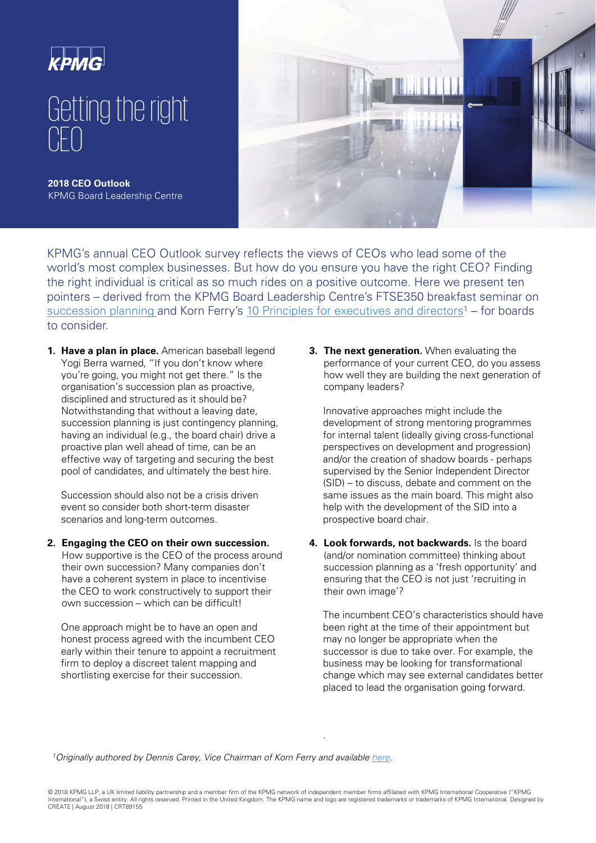

KPMG's annual CEO Outlook survey reflects the views of CEOs who lead some of the world's most complex businesses. But how do you ensure you have the right CEO? Finding the right individual is critical as so much rides on a positive outcome. Here we present ten pointers – derived from the KPMG Board Leadership Centre's FTSE350 breakfast seminar on [succession planning](http://kpmg.co.uk.s3.amazonaws.com/creategraphics/2018/05_2018/CRT089155/CRT089155_Nomination%20committee%20breakfast%20summary%2025%20April.pdf) and Korn Ferry's [10 Principles for executives and directors](https://www.kornferry.com/institute/10-tips-to-get-the-right-ceo)<sup>1</sup> – for boards to consider.

**1. Have a plan in place.** American baseball legend Yogi Berra warned, "If you don't know where you're going, you might not get there." Is the organisation's succession plan as proactive, disciplined and structured as it should be? Notwithstanding that without a leaving date, succession planning is just contingency planning, having an individual (e.g., the board chair) drive a proactive plan well ahead of time, can be an effective way of targeting and securing the best pool of candidates, and ultimately the best hire.

Succession should also not be a crisis driven event so consider both short-term disaster scenarios and long-term outcomes.

**2. Engaging the CEO on their own succession.**  How supportive is the CEO of the process around their own succession? Many companies don't have a coherent system in place to incentivise the CEO to work constructively to support their own succession – which can be difficult!

One approach might be to have an open and honest process agreed with the incumbent CEO early within their tenure to appoint a recruitment firm to deploy a discreet talent mapping and shortlisting exercise for their succession.

**3. The next generation.** When evaluating the performance of your current CEO, do you assess how well they are building the next generation of company leaders?

Innovative approaches might include the development of strong mentoring programmes for internal talent (ideally giving cross-functional perspectives on development and progression) and/or the creation of shadow boards - perhaps supervised by the Senior Independent Director (SID) – to discuss, debate and comment on the same issues as the main board. This might also help with the development of the SID into a prospective board chair.

**4. Look forwards, not backwards.** Is the board (and/or nomination committee) thinking about succession planning as a 'fresh opportunity' and ensuring that the CEO is not just 'recruiting in their own image'?

The incumbent CEO's characteristics should have been right at the time of their appointment but may no longer be appropriate when the successor is due to take over. For example, the business may be looking for transformational change which may see external candidates better placed to lead the organisation going forward.

<sup>1</sup>Originally authored by Dennis Carey, Vice Chairman of Korn Ferry and available [here.](https://www.kornferry.com/institute/10-tips-to-get-the-right-ceo)

.